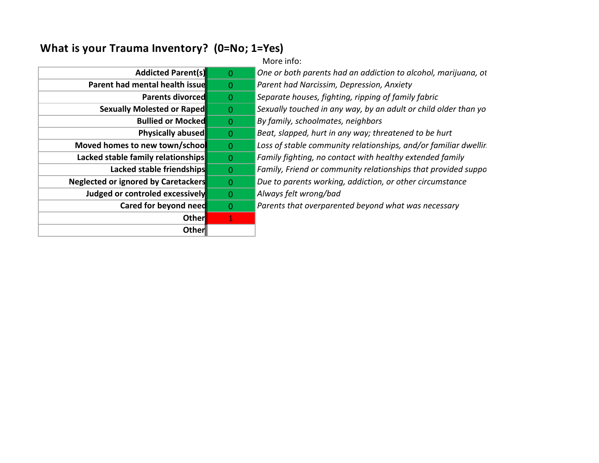## **What is your Trauma Inventory? (0=No; 1=Yes)**

|                                            |                | More info:                                                      |
|--------------------------------------------|----------------|-----------------------------------------------------------------|
| <b>Addicted Parent(s)</b>                  | $\overline{0}$ | One or both parents had an addiction to alcohol, marijuana, ot  |
| Parent had mental health issue             | $\overline{0}$ | Parent had Narcissim, Depression, Anxiety                       |
| <b>Parents divorced</b>                    | $\Omega$       | Separate houses, fighting, ripping of family fabric             |
| <b>Sexually Molested or Raped</b>          | $\overline{0}$ | Sexually touched in any way, by an adult or child older than yo |
| <b>Bullied or Mocked</b>                   | -0             | By family, schoolmates, neighbors                               |
| Physically abused                          | $\overline{0}$ | Beat, slapped, hurt in any way; threatened to be hurt           |
| Moved homes to new town/school             | $\overline{0}$ | Loss of stable community relationships, and/or familiar dwellin |
| Lacked stable family relationships         | $\overline{0}$ | Family fighting, no contact with healthy extended family        |
| Lacked stable friendships                  | $\Omega$       | Family, Friend or community relationships that provided suppo   |
| <b>Neglected or ignored by Caretackers</b> | $\Omega$       | Due to parents working, addiction, or other circumstance        |
| Judged or controled excessively            | $\Omega$       | Always felt wrong/bad                                           |
| Cared for beyond need                      | $\Omega$       | Parents that overparented beyond what was necessary             |
| <b>Other</b>                               |                |                                                                 |
| Other                                      |                |                                                                 |